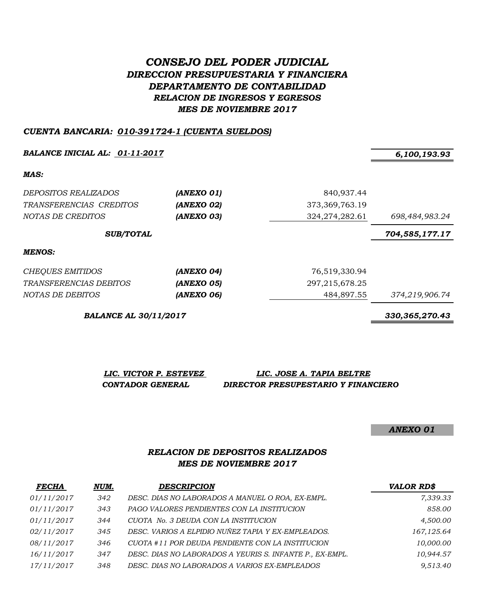# *CONSEJO DEL PODER JUDICIAL DIRECCION PRESUPUESTARIA Y FINANCIERA DEPARTAMENTO DE CONTABILIDAD RELACION DE INGRESOS Y EGRESOS MES DE NOVIEMBRE 2017*

#### *CUENTA BANCARIA: 010-391724-1 (CUENTA SUELDOS)*

*BALANCE INICIAL AL: 01-11-2017 6,100,193.93*

*MAS:*

| <i>DEPOSITOS REALIZADOS</i> | (ANEXO 01)              | 840,937.44        |                |  |
|-----------------------------|-------------------------|-------------------|----------------|--|
| TRANSFERENCIAS CREDITOS     | (ANEXO 02)              | 373, 369, 763. 19 |                |  |
| NOTAS DE CREDITOS           | (ANEXO 03)              | 324, 274, 282. 61 | 698,484,983.24 |  |
| <b>SUB/TOTAL</b>            |                         |                   | 704,585,177.17 |  |
| MENOS:                      |                         |                   |                |  |
| <b>CHEQUES EMITIDOS</b>     | (ANEXO 04)              | 76,519,330.94     |                |  |
|                             | . . ---- <i>-</i> - - - |                   |                |  |

| TRANSFERENCIAS DEBITOS | (ANEXO 05) |
|------------------------|------------|
| NOTAS DE DEBITOS       | (ANEXO 06) |

*BALANCE AL 30/11/2017 330,365,270.43*

| LIC. VICTOR P. ESTEVEZ | LIC. JOSE A. TAPIA BELTRE           |
|------------------------|-------------------------------------|
| CONTADOR GENERAL       | DIRECTOR PRESUPESTARIO Y FINANCIERO |

*ANEXO 01*

### *RELACION DE DEPOSITOS REALIZADOS MES DE NOVIEMBRE 2017*

| <b>FECHA</b> | NUM. | <b>DESCRIPCION</b>                                       | <b>VALOR RD\$</b> |
|--------------|------|----------------------------------------------------------|-------------------|
| 01/11/2017   | 342  | DESC. DIAS NO LABORADOS A MANUEL O ROA, EX-EMPL.         | 7,339.33          |
| 01/11/2017   | 343  | PAGO VALORES PENDIENTES CON LA INSTITUCION               | 858.00            |
| 01/11/2017   | 344  | CUOTA No. 3 DEUDA CON LA INSTITUCION                     | 4,500.00          |
| 02/11/2017   | 345  | DESC. VARIOS A ELPIDIO NUÑEZ TAPIA Y EX-EMPLEADOS.       | 167,125.64        |
| 08/11/2017   | 346  | CUOTA #11 POR DEUDA PENDIENTE CON LA INSTITUCION         | 10,000.00         |
| 16/11/2017   | 347  | DESC. DIAS NO LABORADOS A YEURIS S. INFANTE P., EX-EMPL. | 10,944.57         |
| 17/11/2017   | 348  | DESC. DIAS NO LABORADOS A VARIOS EX-EMPLEADOS            | 9,513.40          |

*TRANSFERENCIAS DEBITOS (ANEXO 05)* 297,215,678.25

*NOTAS DE DEBITOS (ANEXO 06)* 484,897.55 *374,219,906.74*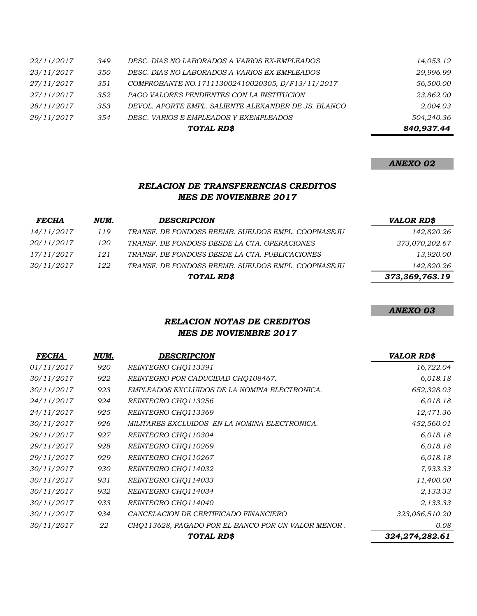|            |     | TOTAL RD\$                                           | 840,937.44 |
|------------|-----|------------------------------------------------------|------------|
| 29/11/2017 | 354 | DESC. VARIOS E EMPLEADOS Y EXEMPLEADOS               | 504.240.36 |
| 28/11/2017 | 353 | DEVOL. APORTE EMPL. SALIENTE ALEXANDER DE JS. BLANCO | 2,004.03   |
| 27/11/2017 | 352 | PAGO VALORES PENDIENTES CON LA INSTITUCION           | 23,862.00  |
| 27/11/2017 | 351 | COMPROBANTE NO.171113002410020305, D/F13/11/2017     | 56,500.00  |
| 23/11/2017 | 350 | DESC. DIAS NO LABORADOS A VARIOS EX-EMPLEADOS        | 29,996.99  |
| 22/11/2017 | 349 | DESC. DIAS NO LABORADOS A VARIOS EX-EMPLEADOS        | 14,053.12  |

#### *ANEXO 02*

### *RELACION DE TRANSFERENCIAS CREDITOS MES DE NOVIEMBRE 2017*

| <b>FECHA</b>      | NUM. | <b>DESCRIPCION</b>                                 | <b>VALOR RD\$</b> |
|-------------------|------|----------------------------------------------------|-------------------|
| 14/11/2017        | 119  | TRANSF. DE FONDOSS REEMB. SUELDOS EMPL. COOPNASEJU | 142,820.26        |
| <i>20/11/2017</i> | 120  | TRANSF. DE FONDOSS DESDE LA CTA. OPERACIONES       | 373,070,202.67    |
| 17/11/2017        | 121  | TRANSF. DE FONDOSS DESDE LA CTA. PUBLICACIONES     | 13,920.00         |
| <i>30/11/2017</i> | 122  | TRANSF. DE FONDOSS REEMB. SUELDOS EMPL. COOPNASEJU | 142,820.26        |
|                   |      | TOTAL RD\$                                         | 373,369,763.19    |

*ANEXO 03*

# *RELACION NOTAS DE CREDITOS MES DE NOVIEMBRE 2017*

| <b>FECHA</b> | NUM. | DESCRIPCION                                        | <b>VALOR RD\$</b> |
|--------------|------|----------------------------------------------------|-------------------|
| 01/11/2017   | 920  | REINTEGRO CHO113391                                | 16,722.04         |
| 30/11/2017   | 922  | REINTEGRO POR CADUCIDAD CHO108467.                 | 6,018.18          |
| 30/11/2017   | 923  | EMPLEADOS EXCLUIDOS DE LA NOMINA ELECTRONICA.      | 652,328.03        |
| 24/11/2017   | 924  | REINTEGRO CHQ113256                                | 6,018.18          |
| 24/11/2017   | 925  | REINTEGRO CHQ113369                                | 12,471.36         |
| 30/11/2017   | 926  | MILITARES EXCLUIDOS EN LA NOMINA ELECTRONICA.      | 452,560.01        |
| 29/11/2017   | 927  | REINTEGRO CHQ110304                                | 6,018.18          |
| 29/11/2017   | 928  | REINTEGRO CHO110269                                | 6,018.18          |
| 29/11/2017   | 929  | REINTEGRO CHO110267                                | 6,018.18          |
| 30/11/2017   | 930  | REINTEGRO CHQ114032                                | 7,933.33          |
| 30/11/2017   | 931  | REINTEGRO CHO114033                                | 11,400.00         |
| 30/11/2017   | 932  | REINTEGRO CHO114034                                | 2,133.33          |
| 30/11/2017   | 933  | REINTEGRO CHQ114040                                | 2,133.33          |
| 30/11/2017   | 934  | CANCELACION DE CERTIFICADO FINANCIERO              | 323,086,510.20    |
| 30/11/2017   | 22   | CHQ113628, PAGADO POR EL BANCO POR UN VALOR MENOR. | 0.08              |
|              |      | TOTAL RD\$                                         | 324,274,282.61    |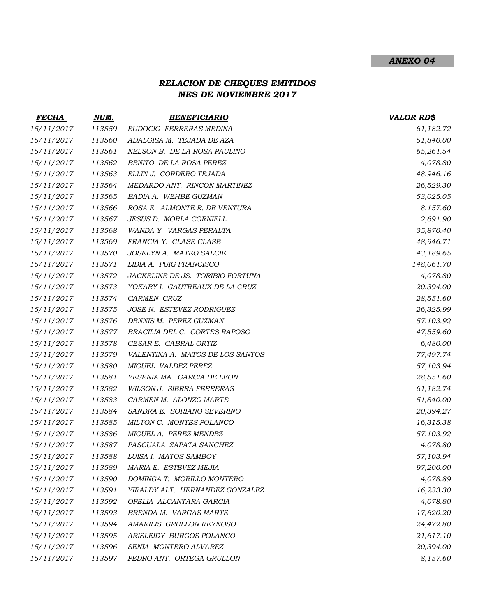#### *ANEXO 04*

# *RELACION DE CHEQUES EMITIDOS MES DE NOVIEMBRE 2017*

| <b>FECHA</b> | NUM.   | <b>BENEFICIARIO</b>              | <b>VALOR RD\$</b> |
|--------------|--------|----------------------------------|-------------------|
| 15/11/2017   | 113559 | EUDOCIO FERRERAS MEDINA          | 61,182.72         |
| 15/11/2017   | 113560 | ADALGISA M. TEJADA DE AZA        | 51,840.00         |
| 15/11/2017   | 113561 | NELSON B. DE LA ROSA PAULINO     | 65,261.54         |
| 15/11/2017   | 113562 | BENITO DE LA ROSA PEREZ          | 4,078.80          |
| 15/11/2017   | 113563 | ELLIN J. CORDERO TEJADA          | 48,946.16         |
| 15/11/2017   | 113564 | MEDARDO ANT. RINCON MARTINEZ     | 26,529.30         |
| 15/11/2017   | 113565 | BADIA A. WEHBE GUZMAN            | 53,025.05         |
| 15/11/2017   | 113566 | ROSA E. ALMONTE R. DE VENTURA    | 8,157.60          |
| 15/11/2017   | 113567 | JESUS D. MORLA CORNIELL          | 2,691.90          |
| 15/11/2017   | 113568 | WANDA Y. VARGAS PERALTA          | 35,870.40         |
| 15/11/2017   | 113569 | FRANCIA Y. CLASE CLASE           | 48,946.71         |
| 15/11/2017   | 113570 | JOSELYN A. MATEO SALCIE          | 43,189.65         |
| 15/11/2017   | 113571 | LIDIA A. PUIG FRANCISCO          | 148,061.70        |
| 15/11/2017   | 113572 | JACKELINE DE JS. TORIBIO FORTUNA | 4,078.80          |
| 15/11/2017   | 113573 | YOKARY I. GAUTREAUX DE LA CRUZ   | 20,394.00         |
| 15/11/2017   | 113574 | CARMEN CRUZ                      | 28,551.60         |
| 15/11/2017   | 113575 | JOSE N. ESTEVEZ RODRIGUEZ        | 26,325.99         |
| 15/11/2017   | 113576 | DENNIS M. PEREZ GUZMAN           | 57,103.92         |
| 15/11/2017   | 113577 | BRACILIA DEL C. CORTES RAPOSO    | 47,559.60         |
| 15/11/2017   | 113578 | CESAR E. CABRAL ORTIZ            | 6,480.00          |
| 15/11/2017   | 113579 | VALENTINA A. MATOS DE LOS SANTOS | 77,497.74         |
| 15/11/2017   | 113580 | MIGUEL VALDEZ PEREZ              | 57,103.94         |
| 15/11/2017   | 113581 | YESENIA MA. GARCIA DE LEON       | 28,551.60         |
| 15/11/2017   | 113582 | WILSON J. SIERRA FERRERAS        | 61,182.74         |
| 15/11/2017   | 113583 | CARMEN M. ALONZO MARTE           | 51,840.00         |
| 15/11/2017   | 113584 | SANDRA E. SORIANO SEVERINO       | 20,394.27         |
| 15/11/2017   | 113585 | MILTON C. MONTES POLANCO         | 16,315.38         |
| 15/11/2017   | 113586 | MIGUEL A. PEREZ MENDEZ           | 57,103.92         |
| 15/11/2017   | 113587 | PASCUALA ZAPATA SANCHEZ          | 4,078.80          |
| 15/11/2017   | 113588 | LUISA I. MATOS SAMBOY            | 57,103.94         |
| 15/11/2017   | 113589 | MARIA E. ESTEVEZ MEJIA           | 97,200.00         |
| 15/11/2017   | 113590 | DOMINGA T. MORILLO MONTERO       | 4,078.89          |
| 15/11/2017   | 113591 | YIRALDY ALT. HERNANDEZ GONZALEZ  | 16,233.30         |
| 15/11/2017   | 113592 | OFELIA ALCANTARA GARCIA          | 4,078.80          |
| 15/11/2017   | 113593 | BRENDA M. VARGAS MARTE           | 17,620.20         |
| 15/11/2017   | 113594 | AMARILIS GRULLON REYNOSO         | 24,472.80         |
| 15/11/2017   | 113595 | ARISLEIDY BURGOS POLANCO         | 21,617.10         |
| 15/11/2017   | 113596 | SENIA MONTERO ALVAREZ            | 20,394.00         |
| 15/11/2017   | 113597 | PEDRO ANT. ORTEGA GRULLON        | 8,157.60          |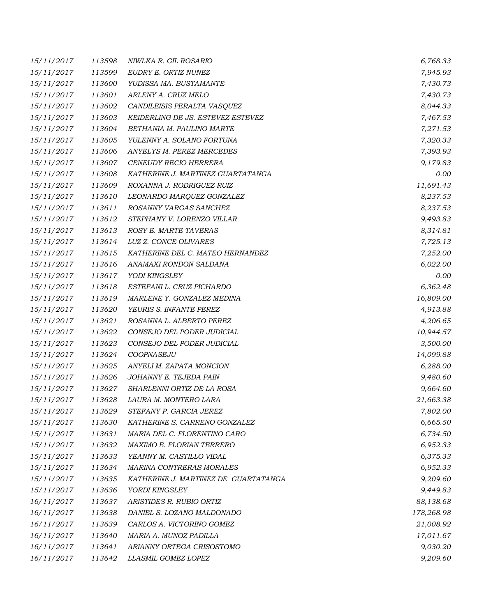| 15/11/2017 | 113598 | NIWLKA R. GIL ROSARIO                | 6,768.33   |
|------------|--------|--------------------------------------|------------|
| 15/11/2017 | 113599 | EUDRY E. ORTIZ NUNEZ                 | 7,945.93   |
| 15/11/2017 | 113600 | YUDISSA MA. BUSTAMANTE               | 7,430.73   |
| 15/11/2017 | 113601 | ARLENY A. CRUZ MELO                  | 7,430.73   |
| 15/11/2017 | 113602 | CANDILEISIS PERALTA VASQUEZ          | 8,044.33   |
| 15/11/2017 | 113603 | KEIDERLING DE JS. ESTEVEZ ESTEVEZ    | 7,467.53   |
| 15/11/2017 | 113604 | BETHANIA M. PAULINO MARTE            | 7,271.53   |
| 15/11/2017 | 113605 | YULENNY A. SOLANO FORTUNA            | 7,320.33   |
| 15/11/2017 | 113606 | ANYELYS M. PEREZ MERCEDES            | 7,393.93   |
| 15/11/2017 | 113607 | CENEUDY RECIO HERRERA                | 9,179.83   |
| 15/11/2017 | 113608 | KATHERINE J. MARTINEZ GUARTATANGA    | 0.00       |
| 15/11/2017 | 113609 | ROXANNA J. RODRIGUEZ RUIZ            | 11,691.43  |
| 15/11/2017 | 113610 | LEONARDO MARQUEZ GONZALEZ            | 8,237.53   |
| 15/11/2017 | 113611 | ROSANNY VARGAS SANCHEZ               | 8,237.53   |
| 15/11/2017 | 113612 | STEPHANY V. LORENZO VILLAR           | 9,493.83   |
| 15/11/2017 | 113613 | ROSY E. MARTE TAVERAS                | 8,314.81   |
| 15/11/2017 | 113614 | LUZ Z. CONCE OLIVARES                | 7,725.13   |
| 15/11/2017 | 113615 | KATHERINE DEL C. MATEO HERNANDEZ     | 7,252.00   |
| 15/11/2017 | 113616 | ANAMAXI RONDON SALDANA               | 6,022.00   |
| 15/11/2017 | 113617 | YODI KINGSLEY                        | 0.00       |
| 15/11/2017 | 113618 | ESTEFANI L. CRUZ PICHARDO            | 6,362.48   |
| 15/11/2017 | 113619 | MARLENE Y. GONZALEZ MEDINA           | 16,809.00  |
| 15/11/2017 | 113620 | YEURIS S. INFANTE PEREZ              | 4,913.88   |
| 15/11/2017 | 113621 | ROSANNA L. ALBERTO PEREZ             | 4,206.65   |
| 15/11/2017 | 113622 | CONSEJO DEL PODER JUDICIAL           | 10,944.57  |
| 15/11/2017 | 113623 | CONSEJO DEL PODER JUDICIAL           | 3,500.00   |
| 15/11/2017 | 113624 | COOPNASEJU                           | 14,099.88  |
| 15/11/2017 | 113625 | ANYELI M. ZAPATA MONCION             | 6,288.00   |
| 15/11/2017 | 113626 | JOHANNY E. TEJEDA PAIN               | 9,480.60   |
| 15/11/2017 | 113627 | SHARLENNI ORTIZ DE LA ROSA           | 9,664.60   |
| 15/11/2017 | 113628 | LAURA M. MONTERO LARA                | 21,663.38  |
| 15/11/2017 | 113629 | STEFANY P. GARCIA JEREZ              | 7,802.00   |
| 15/11/2017 | 113630 | KATHERINE S. CARRENO GONZALEZ        | 6,665.50   |
| 15/11/2017 | 113631 | MARIA DEL C. FLORENTINO CARO         | 6,734.50   |
| 15/11/2017 | 113632 | MAXIMO E. FLORIAN TERRERO            | 6,952.33   |
| 15/11/2017 | 113633 | YEANNY M. CASTILLO VIDAL             | 6,375.33   |
| 15/11/2017 | 113634 | MARINA CONTRERAS MORALES             | 6,952.33   |
| 15/11/2017 | 113635 | KATHERINE J. MARTINEZ DE GUARTATANGA | 9,209.60   |
| 15/11/2017 | 113636 | YORDI KINGSLEY                       | 9,449.83   |
| 16/11/2017 | 113637 | ARISTIDES R. RUBIO ORTIZ             | 88,138.68  |
| 16/11/2017 | 113638 | DANIEL S. LOZANO MALDONADO           | 178,268.98 |
| 16/11/2017 | 113639 | CARLOS A. VICTORINO GOMEZ            | 21,008.92  |
| 16/11/2017 | 113640 | MARIA A. MUNOZ PADILLA               | 17,011.67  |
| 16/11/2017 | 113641 | ARIANNY ORTEGA CRISOSTOMO            | 9,030.20   |
| 16/11/2017 | 113642 | LLASMIL GOMEZ LOPEZ                  | 9,209.60   |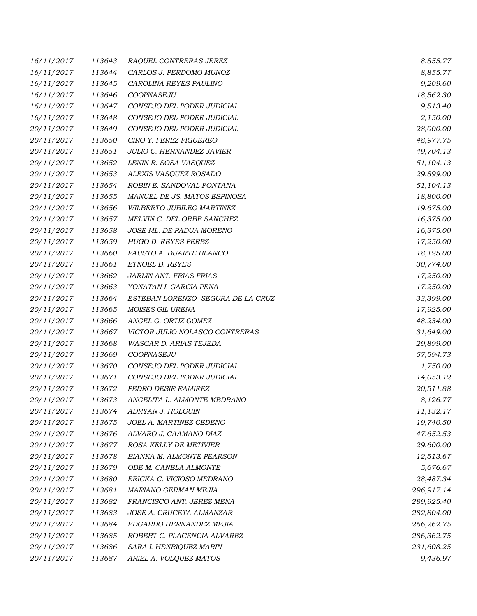| 16/11/2017 | 113643 | RAQUEL CONTRERAS JEREZ            | 8,855.77   |
|------------|--------|-----------------------------------|------------|
| 16/11/2017 | 113644 | CARLOS J. PERDOMO MUNOZ           | 8,855.77   |
| 16/11/2017 | 113645 | CAROLINA REYES PAULINO            | 9,209.60   |
| 16/11/2017 | 113646 | COOPNASEJU                        | 18,562.30  |
| 16/11/2017 | 113647 | CONSEJO DEL PODER JUDICIAL        | 9,513.40   |
| 16/11/2017 | 113648 | CONSEJO DEL PODER JUDICIAL        | 2,150.00   |
| 20/11/2017 | 113649 | CONSEJO DEL PODER JUDICIAL        | 28,000.00  |
| 20/11/2017 | 113650 | CIRO Y. PEREZ FIGUEREO            | 48,977.75  |
| 20/11/2017 | 113651 | JULIO C. HERNANDEZ JAVIER         | 49,704.13  |
| 20/11/2017 | 113652 | LENIN R. SOSA VASQUEZ             | 51,104.13  |
| 20/11/2017 | 113653 | ALEXIS VASQUEZ ROSADO             | 29,899.00  |
| 20/11/2017 | 113654 | ROBIN E. SANDOVAL FONTANA         | 51,104.13  |
| 20/11/2017 | 113655 | MANUEL DE JS. MATOS ESPINOSA      | 18,800.00  |
| 20/11/2017 | 113656 | WILBERTO JUBILEO MARTINEZ         | 19,675.00  |
| 20/11/2017 | 113657 | MELVIN C. DEL ORBE SANCHEZ        | 16,375.00  |
| 20/11/2017 | 113658 | JOSE ML. DE PADUA MORENO          | 16,375.00  |
| 20/11/2017 | 113659 | HUGO D. REYES PEREZ               | 17,250.00  |
| 20/11/2017 | 113660 | FAUSTO A. DUARTE BLANCO           | 18,125.00  |
| 20/11/2017 | 113661 | ETNOEL D. REYES                   | 30,774.00  |
| 20/11/2017 | 113662 | <b>JARLIN ANT. FRIAS FRIAS</b>    | 17,250.00  |
| 20/11/2017 | 113663 | YONATAN I. GARCIA PENA            | 17,250.00  |
| 20/11/2017 | 113664 | ESTEBAN LORENZO SEGURA DE LA CRUZ | 33,399.00  |
| 20/11/2017 | 113665 | MOISES GIL URENA                  | 17,925.00  |
| 20/11/2017 | 113666 | ANGEL G. ORTIZ GOMEZ              | 48,234.00  |
| 20/11/2017 | 113667 | VICTOR JULIO NOLASCO CONTRERAS    | 31,649.00  |
| 20/11/2017 | 113668 | WASCAR D. ARIAS TEJEDA            | 29,899.00  |
| 20/11/2017 | 113669 | COOPNASEJU                        | 57,594.73  |
| 20/11/2017 | 113670 | CONSEJO DEL PODER JUDICIAL        | 1,750.00   |
| 20/11/2017 | 113671 | CONSEJO DEL PODER JUDICIAL        | 14,053.12  |
| 20/11/2017 | 113672 | PEDRO DESIR RAMIREZ               | 20,511.88  |
| 20/11/2017 | 113673 | ANGELITA L. ALMONTE MEDRANO       | 8,126.77   |
| 20/11/2017 | 113674 | ADRYAN J. HOLGUIN                 | 11,132.17  |
| 20/11/2017 | 113675 | JOEL A. MARTINEZ CEDENO           | 19,740.50  |
| 20/11/2017 | 113676 | ALVARO J. CAAMANO DIAZ            | 47,652.53  |
| 20/11/2017 | 113677 | ROSA KELLY DE METIVIER            | 29,600.00  |
| 20/11/2017 | 113678 | <b>BIANKA M. ALMONTE PEARSON</b>  | 12,513.67  |
| 20/11/2017 | 113679 | ODE M. CANELA ALMONTE             | 5,676.67   |
| 20/11/2017 | 113680 | ERICKA C. VICIOSO MEDRANO         | 28,487.34  |
| 20/11/2017 | 113681 | MARIANO GERMAN MEJIA              | 296,917.14 |
| 20/11/2017 | 113682 | FRANCISCO ANT. JEREZ MENA         | 289,925.40 |
| 20/11/2017 | 113683 | JOSE A. CRUCETA ALMANZAR          | 282,804.00 |
| 20/11/2017 | 113684 | EDGARDO HERNANDEZ MEJIA           | 266,262.75 |
| 20/11/2017 | 113685 | ROBERT C. PLACENCIA ALVAREZ       | 286,362.75 |
| 20/11/2017 | 113686 | SARA I. HENRIQUEZ MARIN           | 231,608.25 |
| 20/11/2017 | 113687 | ARIEL A. VOLQUEZ MATOS            | 9,436.97   |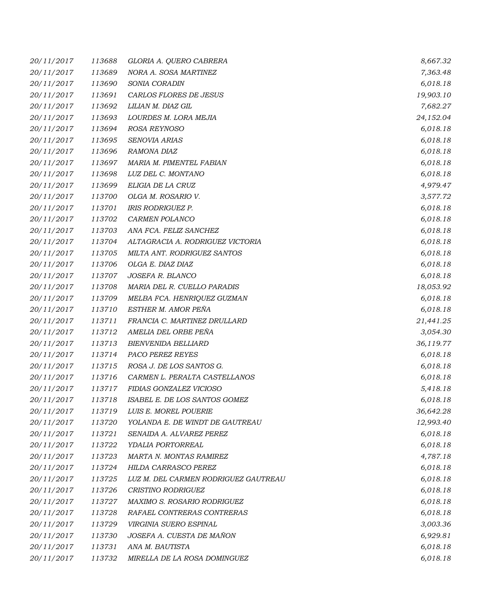| 20/11/2017 | 113688 | GLORIA A. QUERO CABRERA              | 8,667.32  |
|------------|--------|--------------------------------------|-----------|
| 20/11/2017 | 113689 | NORA A. SOSA MARTINEZ                | 7,363.48  |
| 20/11/2017 | 113690 | SONIA CORADIN                        | 6,018.18  |
| 20/11/2017 | 113691 | CARLOS FLORES DE JESUS               | 19,903.10 |
| 20/11/2017 | 113692 | LILIAN M. DIAZ GIL                   | 7,682.27  |
| 20/11/2017 | 113693 | LOURDES M. LORA MEJIA                | 24,152.04 |
| 20/11/2017 | 113694 | ROSA REYNOSO                         | 6,018.18  |
| 20/11/2017 | 113695 | SENOVIA ARIAS                        | 6,018.18  |
| 20/11/2017 | 113696 | RAMONA DIAZ                          | 6,018.18  |
| 20/11/2017 | 113697 | MARIA M. PIMENTEL FABIAN             | 6,018.18  |
| 20/11/2017 | 113698 | LUZ DEL C. MONTANO                   | 6,018.18  |
| 20/11/2017 | 113699 | ELIGIA DE LA CRUZ                    | 4,979.47  |
| 20/11/2017 | 113700 | OLGA M. ROSARIO V.                   | 3,577.72  |
| 20/11/2017 | 113701 | IRIS RODRIGUEZ P.                    | 6,018.18  |
| 20/11/2017 | 113702 | CARMEN POLANCO                       | 6,018.18  |
| 20/11/2017 | 113703 | ANA FCA. FELIZ SANCHEZ               | 6,018.18  |
| 20/11/2017 | 113704 | ALTAGRACIA A. RODRIGUEZ VICTORIA     | 6,018.18  |
| 20/11/2017 | 113705 | MILTA ANT. RODRIGUEZ SANTOS          | 6,018.18  |
| 20/11/2017 | 113706 | OLGA E. DIAZ DIAZ                    | 6,018.18  |
| 20/11/2017 | 113707 | JOSEFA R. BLANCO                     | 6,018.18  |
| 20/11/2017 | 113708 | MARIA DEL R. CUELLO PARADIS          | 18,053.92 |
| 20/11/2017 | 113709 | MELBA FCA. HENRIQUEZ GUZMAN          | 6,018.18  |
| 20/11/2017 | 113710 | ESTHER M. AMOR PEÑA                  | 6,018.18  |
| 20/11/2017 | 113711 | FRANCIA C. MARTINEZ DRULLARD         | 21,441.25 |
| 20/11/2017 | 113712 | AMELIA DEL ORBE PEÑA                 | 3,054.30  |
| 20/11/2017 | 113713 | <b>BIENVENIDA BELLIARD</b>           | 36,119.77 |
| 20/11/2017 | 113714 | PACO PEREZ REYES                     | 6,018.18  |
| 20/11/2017 | 113715 | ROSA J. DE LOS SANTOS G.             | 6,018.18  |
| 20/11/2017 | 113716 | CARMEN L. PERALTA CASTELLANOS        | 6,018.18  |
| 20/11/2017 | 113717 | FIDIAS GONZALEZ VICIOSO              | 5,418.18  |
| 20/11/2017 | 113718 | ISABEL E. DE LOS SANTOS GOMEZ        | 6,018.18  |
| 20/11/2017 | 113719 | LUIS E. MOREL POUERIE                | 36,642.28 |
| 20/11/2017 | 113720 | YOLANDA E. DE WINDT DE GAUTREAU      | 12,993.40 |
| 20/11/2017 | 113721 | SENAIDA A. ALVAREZ PEREZ             | 6,018.18  |
| 20/11/2017 | 113722 | YDALIA PORTORREAL                    | 6,018.18  |
| 20/11/2017 | 113723 | MARTA N. MONTAS RAMIREZ              | 4,787.18  |
| 20/11/2017 | 113724 | <b>HILDA CARRASCO PEREZ</b>          | 6,018.18  |
| 20/11/2017 | 113725 | LUZ M. DEL CARMEN RODRIGUEZ GAUTREAU | 6,018.18  |
| 20/11/2017 | 113726 | CRISTINO RODRIGUEZ                   | 6,018.18  |
| 20/11/2017 | 113727 | MAXIMO S. ROSARIO RODRIGUEZ          | 6,018.18  |
| 20/11/2017 | 113728 | RAFAEL CONTRERAS CONTRERAS           | 6,018.18  |
| 20/11/2017 | 113729 | VIRGINIA SUERO ESPINAL               | 3,003.36  |
| 20/11/2017 | 113730 | JOSEFA A. CUESTA DE MAÑON            | 6,929.81  |
| 20/11/2017 | 113731 | ANA M. BAUTISTA                      | 6,018.18  |
| 20/11/2017 | 113732 | MIRELLA DE LA ROSA DOMINGUEZ         | 6,018.18  |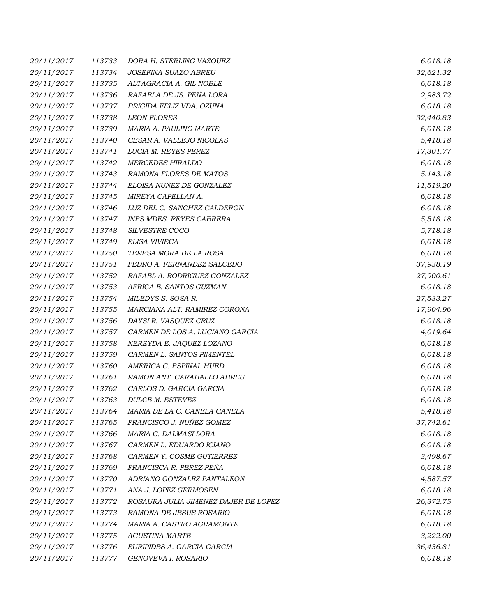| 20/11/2017 | 113733 | DORA H. STERLING VAZQUEZ             | 6,018.18  |
|------------|--------|--------------------------------------|-----------|
| 20/11/2017 | 113734 | JOSEFINA SUAZO ABREU                 | 32,621.32 |
| 20/11/2017 | 113735 | ALTAGRACIA A. GIL NOBLE              | 6,018.18  |
| 20/11/2017 | 113736 | RAFAELA DE JS. PEÑA LORA             | 2,983.72  |
| 20/11/2017 | 113737 | BRIGIDA FELIZ VDA. OZUNA             | 6,018.18  |
| 20/11/2017 | 113738 | <b>LEON FLORES</b>                   | 32,440.83 |
| 20/11/2017 | 113739 | MARIA A. PAULINO MARTE               | 6,018.18  |
| 20/11/2017 | 113740 | CESAR A. VALLEJO NICOLAS             | 5,418.18  |
| 20/11/2017 | 113741 | LUCIA M. REYES PEREZ                 | 17,301.77 |
| 20/11/2017 | 113742 | <b>MERCEDES HIRALDO</b>              | 6,018.18  |
| 20/11/2017 | 113743 | RAMONA FLORES DE MATOS               | 5,143.18  |
| 20/11/2017 | 113744 | ELOISA NUÑEZ DE GONZALEZ             | 11,519.20 |
| 20/11/2017 | 113745 | MIREYA CAPELLAN A.                   | 6,018.18  |
| 20/11/2017 | 113746 | LUZ DEL C. SANCHEZ CALDERON          | 6,018.18  |
| 20/11/2017 | 113747 | <b>INES MDES. REYES CABRERA</b>      | 5,518.18  |
| 20/11/2017 | 113748 | SILVESTRE COCO                       | 5,718.18  |
| 20/11/2017 | 113749 | ELISA VIVIECA                        | 6,018.18  |
| 20/11/2017 | 113750 | TERESA MORA DE LA ROSA               | 6,018.18  |
| 20/11/2017 | 113751 | PEDRO A. FERNANDEZ SALCEDO           | 37,938.19 |
| 20/11/2017 | 113752 | RAFAEL A. RODRIGUEZ GONZALEZ         | 27,900.61 |
| 20/11/2017 | 113753 | AFRICA E. SANTOS GUZMAN              | 6,018.18  |
| 20/11/2017 | 113754 | MILEDYS S. SOSA R.                   | 27,533.27 |
| 20/11/2017 | 113755 | MARCIANA ALT. RAMIREZ CORONA         | 17,904.96 |
| 20/11/2017 | 113756 | DAYSI R. VASQUEZ CRUZ                | 6,018.18  |
| 20/11/2017 | 113757 | CARMEN DE LOS A. LUCIANO GARCIA      | 4,019.64  |
| 20/11/2017 | 113758 | NEREYDA E. JAQUEZ LOZANO             | 6,018.18  |
| 20/11/2017 | 113759 | CARMEN L. SANTOS PIMENTEL            | 6,018.18  |
| 20/11/2017 | 113760 | AMERICA G. ESPINAL HUED              | 6,018.18  |
| 20/11/2017 | 113761 | RAMON ANT. CARABALLO ABREU           | 6,018.18  |
| 20/11/2017 | 113762 | CARLOS D. GARCIA GARCIA              | 6,018.18  |
| 20/11/2017 | 113763 | <b>DULCE M. ESTEVEZ</b>              | 6,018.18  |
| 20/11/2017 | 113764 | MARIA DE LA C. CANELA CANELA         | 5,418.18  |
| 20/11/2017 | 113765 | FRANCISCO J. NUÑEZ GOMEZ             | 37,742.61 |
| 20/11/2017 | 113766 | MARIA G. DALMASI LORA                | 6,018.18  |
| 20/11/2017 | 113767 | CARMEN L. EDUARDO ICIANO             | 6,018.18  |
| 20/11/2017 | 113768 | CARMEN Y. COSME GUTIERREZ            | 3,498.67  |
| 20/11/2017 | 113769 | FRANCISCA R. PEREZ PEÑA              | 6,018.18  |
| 20/11/2017 | 113770 | ADRIANO GONZALEZ PANTALEON           | 4,587.57  |
| 20/11/2017 | 113771 | ANA J. LOPEZ GERMOSEN                | 6,018.18  |
| 20/11/2017 | 113772 | ROSAURA JULIA JIMENEZ DAJER DE LOPEZ | 26,372.75 |
| 20/11/2017 | 113773 | RAMONA DE JESUS ROSARIO              | 6,018.18  |
| 20/11/2017 | 113774 | MARIA A. CASTRO AGRAMONTE            | 6,018.18  |
| 20/11/2017 | 113775 | AGUSTINA MARTE                       | 3,222.00  |
| 20/11/2017 | 113776 | EURIPIDES A. GARCIA GARCIA           | 36,436.81 |
| 20/11/2017 | 113777 | GENOVEVA I. ROSARIO                  | 6,018.18  |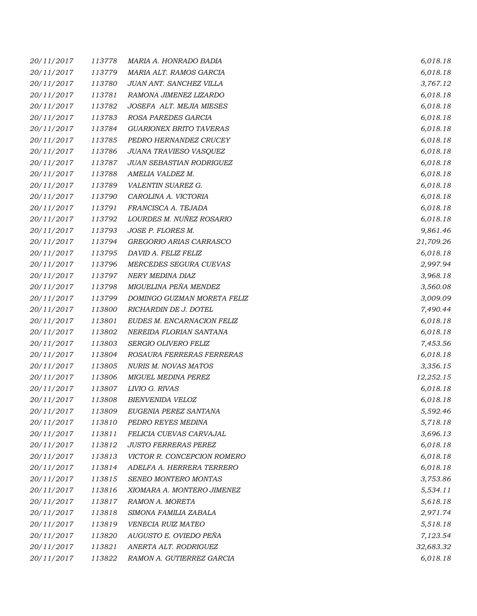| 20/11/2017 | 113778 | MARIA A. HONRADO BADIA         | 6,018.18  |
|------------|--------|--------------------------------|-----------|
| 20/11/2017 | 113779 | MARIA ALT. RAMOS GARCIA        | 6,018.18  |
| 20/11/2017 | 113780 | JUAN ANT. SANCHEZ VILLA        | 3,767.12  |
| 20/11/2017 | 113781 | RAMONA JIMENEZ LIZARDO         | 6,018.18  |
| 20/11/2017 | 113782 | JOSEFA ALT. MEJIA MIESES       | 6,018.18  |
| 20/11/2017 | 113783 | ROSA PAREDES GARCIA            | 6,018.18  |
| 20/11/2017 | 113784 | <b>GUARIONEX BRITO TAVERAS</b> | 6,018.18  |
| 20/11/2017 | 113785 | PEDRO HERNANDEZ CRUCEY         | 6,018.18  |
| 20/11/2017 | 113786 | JUANA TRAVIESO VASQUEZ         | 6,018.18  |
| 20/11/2017 | 113787 | JUAN SEBASTIAN RODRIGUEZ       | 6,018.18  |
| 20/11/2017 | 113788 | AMELIA VALDEZ M.               | 6,018.18  |
| 20/11/2017 | 113789 | VALENTIN SUAREZ G.             | 6,018.18  |
| 20/11/2017 | 113790 | CAROLINA A. VICTORIA           | 6,018.18  |
| 20/11/2017 | 113791 | FRANCISCA A. TEJADA            | 6,018.18  |
| 20/11/2017 | 113792 | LOURDES M. NUÑEZ ROSARIO       | 6,018.18  |
| 20/11/2017 | 113793 | JOSE P. FLORES M.              | 9,861.46  |
| 20/11/2017 | 113794 | GREGORIO ARIAS CARRASCO        | 21,709.26 |
| 20/11/2017 | 113795 | DAVID A. FELIZ FELIZ           | 6,018.18  |
| 20/11/2017 | 113796 | MERCEDES SEGURA CUEVAS         | 2,997.94  |
| 20/11/2017 | 113797 | NERY MEDINA DIAZ               | 3,968.18  |
| 20/11/2017 | 113798 | MIGUELINA PEÑA MENDEZ          | 3,560.08  |
| 20/11/2017 | 113799 | DOMINGO GUZMAN MORETA FELIZ    | 3,009.09  |
| 20/11/2017 | 113800 | RICHARDIN DE J. DOTEL          | 7,490.44  |
| 20/11/2017 | 113801 | EUDES M. ENCARNACION FELIZ     | 6,018.18  |
| 20/11/2017 | 113802 | NEREIDA FLORIAN SANTANA        | 6,018.18  |
| 20/11/2017 | 113803 | SERGIO OLIVERO FELIZ           | 7,453.56  |
| 20/11/2017 | 113804 | ROSAURA FERRERAS FERRERAS      | 6,018.18  |
| 20/11/2017 | 113805 | NURIS M. NOVAS MATOS           | 3,356.15  |
| 20/11/2017 | 113806 | <b>MIGUEL MEDINA PEREZ</b>     | 12,252.15 |
| 20/11/2017 | 113807 | LIVIO G. RIVAS                 | 6,018.18  |
| 20/11/2017 | 113808 | <b>BIENVENIDA VELOZ</b>        | 6,018.18  |
| 20/11/2017 | 113809 | EUGENIA PEREZ SANTANA          | 5,592.46  |
| 20/11/2017 | 113810 | PEDRO REYES MEDINA             | 5,718.18  |
| 20/11/2017 | 113811 | FELICIA CUEVAS CARVAJAL        | 3,696.13  |
| 20/11/2017 | 113812 | <b>JUSTO FERRERAS PEREZ</b>    | 6,018.18  |
| 20/11/2017 | 113813 | VICTOR R. CONCEPCION ROMERO    | 6,018.18  |
| 20/11/2017 | 113814 | ADELFA A. HERRERA TERRERO      | 6,018.18  |
| 20/11/2017 | 113815 | SENEO MONTERO MONTAS           | 3,753.86  |
| 20/11/2017 | 113816 | XIOMARA A. MONTERO JIMENEZ     | 5,534.11  |
| 20/11/2017 | 113817 | RAMON A. MORETA                | 5,618.18  |
| 20/11/2017 | 113818 | SIMONA FAMILIA ZABALA          | 2,971.74  |
| 20/11/2017 | 113819 | VENECIA RUIZ MATEO             | 5,518.18  |
| 20/11/2017 | 113820 | AUGUSTO E. OVIEDO PEÑA         | 7,123.54  |
| 20/11/2017 | 113821 | ANERTA ALT. RODRIGUEZ          | 32,683.32 |
| 20/11/2017 | 113822 | RAMON A. GUTIERREZ GARCIA      | 6,018.18  |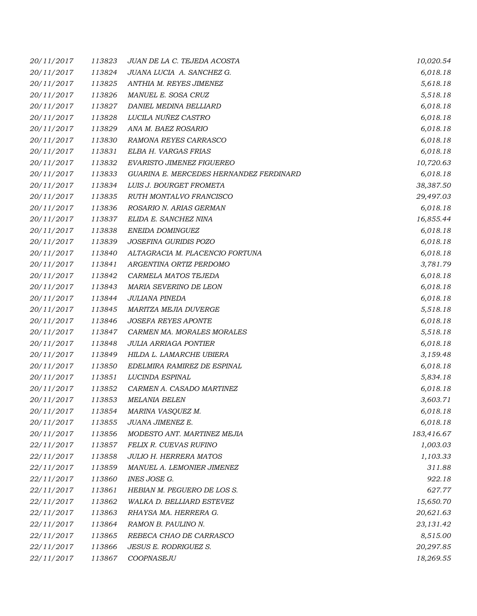| 20/11/2017 | 113823 | JUAN DE LA C. TEJEDA ACOSTA             | 10,020.54  |
|------------|--------|-----------------------------------------|------------|
| 20/11/2017 | 113824 | JUANA LUCIA A. SANCHEZ G.               | 6,018.18   |
| 20/11/2017 | 113825 | ANTHIA M. REYES JIMENEZ                 | 5,618.18   |
| 20/11/2017 | 113826 | MANUEL E. SOSA CRUZ                     | 5,518.18   |
| 20/11/2017 | 113827 | DANIEL MEDINA BELLIARD                  | 6,018.18   |
| 20/11/2017 | 113828 | LUCILA NUÑEZ CASTRO                     | 6,018.18   |
| 20/11/2017 | 113829 | ANA M. BAEZ ROSARIO                     | 6,018.18   |
| 20/11/2017 | 113830 | RAMONA REYES CARRASCO                   | 6,018.18   |
| 20/11/2017 | 113831 | ELBA H. VARGAS FRIAS                    | 6,018.18   |
| 20/11/2017 | 113832 | EVARISTO JIMENEZ FIGUEREO               | 10,720.63  |
| 20/11/2017 | 113833 | GUARINA E. MERCEDES HERNANDEZ FERDINARD | 6,018.18   |
| 20/11/2017 | 113834 | LUIS J. BOURGET FROMETA                 | 38,387.50  |
| 20/11/2017 | 113835 | RUTH MONTALVO FRANCISCO                 | 29,497.03  |
| 20/11/2017 | 113836 | ROSARIO N. ARIAS GERMAN                 | 6,018.18   |
| 20/11/2017 | 113837 | ELIDA E. SANCHEZ NINA                   | 16,855.44  |
| 20/11/2017 | 113838 | ENEIDA DOMINGUEZ                        | 6,018.18   |
| 20/11/2017 | 113839 | JOSEFINA GURIDIS POZO                   | 6,018.18   |
| 20/11/2017 | 113840 | ALTAGRACIA M. PLACENCIO FORTUNA         | 6,018.18   |
| 20/11/2017 | 113841 | ARGENTINA ORTIZ PERDOMO                 | 3,781.79   |
| 20/11/2017 | 113842 | CARMELA MATOS TEJEDA                    | 6,018.18   |
| 20/11/2017 | 113843 | MARIA SEVERINO DE LEON                  | 6,018.18   |
| 20/11/2017 | 113844 | JULIANA PINEDA                          | 6,018.18   |
| 20/11/2017 | 113845 | MARITZA MEJIA DUVERGE                   | 5,518.18   |
| 20/11/2017 | 113846 | <b>JOSEFA REYES APONTE</b>              | 6,018.18   |
| 20/11/2017 | 113847 | CARMEN MA. MORALES MORALES              | 5,518.18   |
| 20/11/2017 | 113848 | <b>JULIA ARRIAGA PONTIER</b>            | 6,018.18   |
| 20/11/2017 | 113849 | HILDA L. LAMARCHE UBIERA                | 3,159.48   |
| 20/11/2017 | 113850 | EDELMIRA RAMIREZ DE ESPINAL             | 6,018.18   |
| 20/11/2017 | 113851 | LUCINDA ESPINAL                         | 5,834.18   |
| 20/11/2017 | 113852 | CARMEN A. CASADO MARTINEZ               | 6,018.18   |
| 20/11/2017 | 113853 | <b>MELANIA BELEN</b>                    | 3,603.71   |
| 20/11/2017 | 113854 | MARINA VASQUEZ M.                       | 6,018.18   |
| 20/11/2017 | 113855 | JUANA JIMENEZ E.                        | 6,018.18   |
| 20/11/2017 | 113856 | MODESTO ANT. MARTINEZ MEJIA             | 183,416.67 |
| 22/11/2017 | 113857 | FELIX R. CUEVAS RUFINO                  | 1,003.03   |
| 22/11/2017 | 113858 | <b>JULIO H. HERRERA MATOS</b>           | 1,103.33   |
| 22/11/2017 | 113859 | MANUEL A. LEMONIER JIMENEZ              | 311.88     |
| 22/11/2017 | 113860 | INES JOSE G.                            | 922.18     |
| 22/11/2017 | 113861 | HEBIAN M. PEGUERO DE LOS S.             | 627.77     |
| 22/11/2017 | 113862 | WALKA D. BELLIARD ESTEVEZ               | 15,650.70  |
| 22/11/2017 | 113863 | RHAYSA MA. HERRERA G.                   | 20,621.63  |
| 22/11/2017 | 113864 | RAMON B. PAULINO N.                     | 23,131.42  |
| 22/11/2017 | 113865 | REBECA CHAO DE CARRASCO                 | 8,515.00   |
| 22/11/2017 | 113866 | <b>JESUS E. RODRIGUEZ S.</b>            | 20,297.85  |
| 22/11/2017 | 113867 | COOPNASEJU                              | 18,269.55  |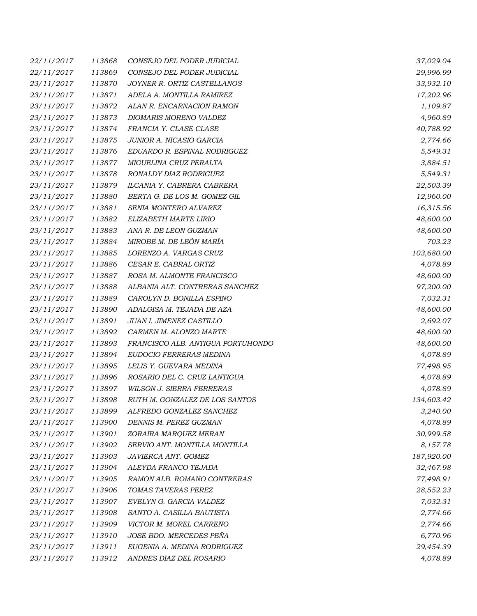| 22/11/2017 | 113868 | CONSEJO DEL PODER JUDICIAL        | 37,029.04  |
|------------|--------|-----------------------------------|------------|
| 22/11/2017 | 113869 | CONSEJO DEL PODER JUDICIAL        | 29,996.99  |
| 23/11/2017 | 113870 | JOYNER R. ORTIZ CASTELLANOS       | 33,932.10  |
| 23/11/2017 | 113871 | ADELA A. MONTILLA RAMIREZ         | 17,202.96  |
| 23/11/2017 | 113872 | ALAN R. ENCARNACION RAMON         | 1,109.87   |
| 23/11/2017 | 113873 | DIOMARIS MORENO VALDEZ            | 4,960.89   |
| 23/11/2017 | 113874 | FRANCIA Y. CLASE CLASE            | 40,788.92  |
| 23/11/2017 | 113875 | JUNIOR A. NICASIO GARCIA          | 2,774.66   |
| 23/11/2017 | 113876 | EDUARDO R. ESPINAL RODRIGUEZ      | 5,549.31   |
| 23/11/2017 | 113877 | MIGUELINA CRUZ PERALTA            | 3,884.51   |
| 23/11/2017 | 113878 | RONALDY DIAZ RODRIGUEZ            | 5,549.31   |
| 23/11/2017 | 113879 | ILCANIA Y. CABRERA CABRERA        | 22,503.39  |
| 23/11/2017 | 113880 | BERTA G. DE LOS M. GOMEZ GIL      | 12,960.00  |
| 23/11/2017 | 113881 | SENIA MONTERO ALVAREZ             | 16,315.56  |
| 23/11/2017 | 113882 | ELIZABETH MARTE LIRIO             | 48,600.00  |
| 23/11/2017 | 113883 | ANA R. DE LEON GUZMAN             | 48,600.00  |
| 23/11/2017 | 113884 | MIROBE M. DE LEÓN MARÍA           | 703.23     |
| 23/11/2017 | 113885 | LORENZO A. VARGAS CRUZ            | 103,680.00 |
| 23/11/2017 | 113886 | CESAR E. CABRAL ORTIZ             | 4,078.89   |
| 23/11/2017 | 113887 | ROSA M. ALMONTE FRANCISCO         | 48,600.00  |
| 23/11/2017 | 113888 | ALBANIA ALT. CONTRERAS SANCHEZ    | 97,200.00  |
| 23/11/2017 | 113889 | CAROLYN D. BONILLA ESPINO         | 7,032.31   |
| 23/11/2017 | 113890 | ADALGISA M. TEJADA DE AZA         | 48,600.00  |
| 23/11/2017 | 113891 | JUAN I. JIMENEZ CASTILLO          | 2,692.07   |
| 23/11/2017 | 113892 | CARMEN M. ALONZO MARTE            | 48,600.00  |
| 23/11/2017 | 113893 | FRANCISCO ALB. ANTIGUA PORTUHONDO | 48,600.00  |
| 23/11/2017 | 113894 | EUDOCIO FERRERAS MEDINA           | 4,078.89   |
| 23/11/2017 | 113895 | LELIS Y. GUEVARA MEDINA           | 77,498.95  |
| 23/11/2017 | 113896 | ROSARIO DEL C. CRUZ LANTIGUA      | 4,078.89   |
| 23/11/2017 | 113897 | <b>WILSON J. SIERRA FERRERAS</b>  | 4,078.89   |
| 23/11/2017 | 113898 | RUTH M. GONZALEZ DE LOS SANTOS    | 134,603.42 |
| 23/11/2017 | 113899 | ALFREDO GONZALEZ SANCHEZ          | 3,240.00   |
| 23/11/2017 | 113900 | DENNIS M. PEREZ GUZMAN            | 4,078.89   |
| 23/11/2017 | 113901 | ZORAIRA MARQUEZ MERAN             | 30,999.58  |
| 23/11/2017 | 113902 | SERVIO ANT. MONTILLA MONTILLA     | 8,157.78   |
| 23/11/2017 | 113903 | JAVIERCA ANT. GOMEZ               | 187,920.00 |
| 23/11/2017 | 113904 | ALEYDA FRANCO TEJADA              | 32,467.98  |
| 23/11/2017 | 113905 | RAMON ALB. ROMANO CONTRERAS       | 77,498.91  |
| 23/11/2017 | 113906 | TOMAS TAVERAS PEREZ               | 28,552.23  |
| 23/11/2017 | 113907 | EVELYN G. GARCIA VALDEZ           | 7,032.31   |
| 23/11/2017 | 113908 | SANTO A. CASILLA BAUTISTA         | 2,774.66   |
| 23/11/2017 | 113909 | VICTOR M. MOREL CARREÑO           | 2,774.66   |
| 23/11/2017 | 113910 | JOSE BDO. MERCEDES PEÑA           | 6,770.96   |
| 23/11/2017 | 113911 | EUGENIA A. MEDINA RODRIGUEZ       | 29,454.39  |
| 23/11/2017 | 113912 | ANDRES DIAZ DEL ROSARIO           | 4,078.89   |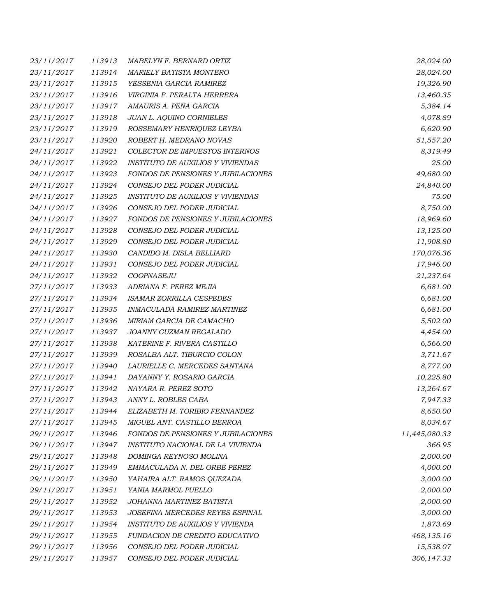| 23/11/2017 | 113913 | MABELYN F. BERNARD ORTIZ                 | 28,024.00     |
|------------|--------|------------------------------------------|---------------|
| 23/11/2017 | 113914 | <b>MARIELY BATISTA MONTERO</b>           | 28,024.00     |
| 23/11/2017 | 113915 | YESSENIA GARCIA RAMIREZ                  | 19,326.90     |
| 23/11/2017 | 113916 | VIRGINIA F. PERALTA HERRERA              | 13,460.35     |
| 23/11/2017 | 113917 | AMAURIS A. PEÑA GARCIA                   | 5,384.14      |
| 23/11/2017 | 113918 | JUAN L. AQUINO CORNIELES                 | 4,078.89      |
| 23/11/2017 | 113919 | ROSSEMARY HENRIQUEZ LEYBA                | 6,620.90      |
| 23/11/2017 | 113920 | ROBERT H. MEDRANO NOVAS                  | 51,557.20     |
| 24/11/2017 | 113921 | COLECTOR DE IMPUESTOS INTERNOS           | 8,319.49      |
| 24/11/2017 | 113922 | <b>INSTITUTO DE AUXILIOS Y VIVIENDAS</b> | 25.00         |
| 24/11/2017 | 113923 | FONDOS DE PENSIONES Y JUBILACIONES       | 49,680.00     |
| 24/11/2017 | 113924 | CONSEJO DEL PODER JUDICIAL               | 24,840.00     |
| 24/11/2017 | 113925 | <b>INSTITUTO DE AUXILIOS Y VIVIENDAS</b> | 75.00         |
| 24/11/2017 | 113926 | CONSEJO DEL PODER JUDICIAL               | 8,750.00      |
| 24/11/2017 | 113927 | FONDOS DE PENSIONES Y JUBILACIONES       | 18,969.60     |
| 24/11/2017 | 113928 | CONSEJO DEL PODER JUDICIAL               | 13,125.00     |
| 24/11/2017 | 113929 | CONSEJO DEL PODER JUDICIAL               | 11,908.80     |
| 24/11/2017 | 113930 | CANDIDO M. DISLA BELLIARD                | 170,076.36    |
| 24/11/2017 | 113931 | CONSEJO DEL PODER JUDICIAL               | 17,946.00     |
| 24/11/2017 | 113932 | COOPNASEJU                               | 21,237.64     |
| 27/11/2017 | 113933 | ADRIANA F. PEREZ MEJIA                   | 6,681.00      |
| 27/11/2017 | 113934 | <b>ISAMAR ZORRILLA CESPEDES</b>          | 6,681.00      |
| 27/11/2017 | 113935 | INMACULADA RAMIREZ MARTINEZ              | 6,681.00      |
| 27/11/2017 | 113936 | MIRIAM GARCIA DE CAMACHO                 | 5,502.00      |
| 27/11/2017 | 113937 | JOANNY GUZMAN REGALADO                   | 4,454.00      |
| 27/11/2017 | 113938 | KATERINE F. RIVERA CASTILLO              | 6,566.00      |
| 27/11/2017 | 113939 | ROSALBA ALT. TIBURCIO COLON              | 3,711.67      |
| 27/11/2017 | 113940 | LAURIELLE C. MERCEDES SANTANA            | 8,777.00      |
| 27/11/2017 | 113941 | DAYANNY Y. ROSARIO GARCIA                | 10,225.80     |
| 27/11/2017 | 113942 | NAYARA R. PEREZ SOTO                     | 13,264.67     |
| 27/11/2017 | 113943 | ANNY L. ROBLES CABA                      | 7,947.33      |
| 27/11/2017 | 113944 | ELIZABETH M. TORIBIO FERNANDEZ           | 8,650.00      |
| 27/11/2017 | 113945 | MIGUEL ANT. CASTILLO BERROA              | 8,034.67      |
| 29/11/2017 | 113946 | FONDOS DE PENSIONES Y JUBILACIONES       | 11,445,080.33 |
| 29/11/2017 | 113947 | INSTITUTO NACIONAL DE LA VIVIENDA        | 366.95        |
| 29/11/2017 | 113948 | DOMINGA REYNOSO MOLINA                   | 2,000.00      |
| 29/11/2017 | 113949 | EMMACULADA N. DEL ORBE PEREZ             | 4,000.00      |
| 29/11/2017 | 113950 | YAHAIRA ALT. RAMOS QUEZADA               | 3,000.00      |
| 29/11/2017 | 113951 | YANIA MARMOL PUELLO                      | 2,000.00      |
| 29/11/2017 | 113952 | JOHANNA MARTINEZ BATISTA                 | 2,000.00      |
| 29/11/2017 | 113953 | JOSEFINA MERCEDES REYES ESPINAL          | 3,000.00      |
| 29/11/2017 | 113954 | INSTITUTO DE AUXILIOS Y VIVIENDA         | 1,873.69      |
| 29/11/2017 | 113955 | FUNDACION DE CREDITO EDUCATIVO           | 468,135.16    |
| 29/11/2017 | 113956 | CONSEJO DEL PODER JUDICIAL               | 15,538.07     |
| 29/11/2017 | 113957 | CONSEJO DEL PODER JUDICIAL               | 306,147.33    |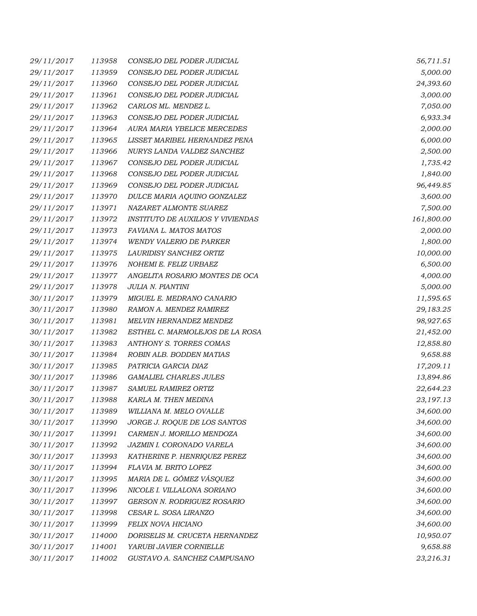| 29/11/2017 | 113958 | CONSEJO DEL PODER JUDICIAL               | 56,711.51  |
|------------|--------|------------------------------------------|------------|
| 29/11/2017 | 113959 | CONSEJO DEL PODER JUDICIAL               | 5,000.00   |
| 29/11/2017 | 113960 | CONSEJO DEL PODER JUDICIAL               | 24,393.60  |
| 29/11/2017 | 113961 | CONSEJO DEL PODER JUDICIAL               | 3,000.00   |
| 29/11/2017 | 113962 | CARLOS ML. MENDEZ L.                     | 7,050.00   |
| 29/11/2017 | 113963 | CONSEJO DEL PODER JUDICIAL               | 6,933.34   |
| 29/11/2017 | 113964 | AURA MARIA YBELICE MERCEDES              | 2,000.00   |
| 29/11/2017 | 113965 | LISSET MARIBEL HERNANDEZ PENA            | 6,000.00   |
| 29/11/2017 | 113966 | NURYS LANDA VALDEZ SANCHEZ               | 2,500.00   |
| 29/11/2017 | 113967 | CONSEJO DEL PODER JUDICIAL               | 1,735.42   |
| 29/11/2017 | 113968 | CONSEJO DEL PODER JUDICIAL               | 1,840.00   |
| 29/11/2017 | 113969 | CONSEJO DEL PODER JUDICIAL               | 96,449.85  |
| 29/11/2017 | 113970 | DULCE MARIA AQUINO GONZALEZ              | 3,600.00   |
| 29/11/2017 | 113971 | NAZARET ALMONTE SUAREZ                   | 7,500.00   |
| 29/11/2017 | 113972 | <i>INSTITUTO DE AUXILIOS Y VIVIENDAS</i> | 161,800.00 |
| 29/11/2017 | 113973 | FAVIANA L. MATOS MATOS                   | 2,000.00   |
| 29/11/2017 | 113974 | <b>WENDY VALERIO DE PARKER</b>           | 1,800.00   |
| 29/11/2017 | 113975 | LAURIDISY SANCHEZ ORTIZ                  | 10,000.00  |
| 29/11/2017 | 113976 | NOHEMI E. FELIZ URBAEZ                   | 6,500.00   |
| 29/11/2017 | 113977 | ANGELITA ROSARIO MONTES DE OCA           | 4,000.00   |
| 29/11/2017 | 113978 | JULIA N. PIANTINI                        | 5,000.00   |
| 30/11/2017 | 113979 | MIGUEL E. MEDRANO CANARIO                | 11,595.65  |
| 30/11/2017 | 113980 | RAMON A. MENDEZ RAMIREZ                  | 29,183.25  |
| 30/11/2017 | 113981 | MELVIN HERNANDEZ MENDEZ                  | 98,927.65  |
| 30/11/2017 | 113982 | ESTHEL C. MARMOLEJOS DE LA ROSA          | 21,452.00  |
| 30/11/2017 | 113983 | ANTHONY S. TORRES COMAS                  | 12,858.80  |
| 30/11/2017 | 113984 | ROBIN ALB. BODDEN MATIAS                 | 9,658.88   |
| 30/11/2017 | 113985 | PATRICIA GARCIA DIAZ                     | 17,209.11  |
| 30/11/2017 | 113986 | <b>GAMALIEL CHARLES JULES</b>            | 13,894.86  |
| 30/11/2017 | 113987 | SAMUEL RAMIREZ ORTIZ                     | 22,644.23  |
| 30/11/2017 | 113988 | KARLA M. THEN MEDINA                     | 23,197.13  |
| 30/11/2017 | 113989 | WILLIANA M. MELO OVALLE                  | 34,600.00  |
| 30/11/2017 | 113990 | JORGE J. ROQUE DE LOS SANTOS             | 34,600.00  |
| 30/11/2017 | 113991 | CARMEN J. MORILLO MENDOZA                | 34,600.00  |
| 30/11/2017 | 113992 | JAZMIN I. CORONADO VARELA                | 34,600.00  |
| 30/11/2017 | 113993 | KATHERINE P. HENRIQUEZ PEREZ             | 34,600.00  |
| 30/11/2017 | 113994 | FLAVIA M. BRITO LOPEZ                    | 34,600.00  |
| 30/11/2017 | 113995 | MARIA DE L. GÓMEZ VÁSQUEZ                | 34,600.00  |
| 30/11/2017 | 113996 | NICOLE I. VILLALONA SORIANO              | 34,600.00  |
| 30/11/2017 | 113997 | GERSON N. RODRIGUEZ ROSARIO              | 34,600.00  |
| 30/11/2017 | 113998 | CESAR L. SOSA LIRANZO                    | 34,600.00  |
| 30/11/2017 | 113999 | FELIX NOVA HICIANO                       | 34,600.00  |
| 30/11/2017 | 114000 | DORISELIS M. CRUCETA HERNANDEZ           | 10,950.07  |
| 30/11/2017 | 114001 | YARUBI JAVIER CORNIELLE                  | 9,658.88   |
| 30/11/2017 | 114002 | GUSTAVO A. SANCHEZ CAMPUSANO             | 23,216.31  |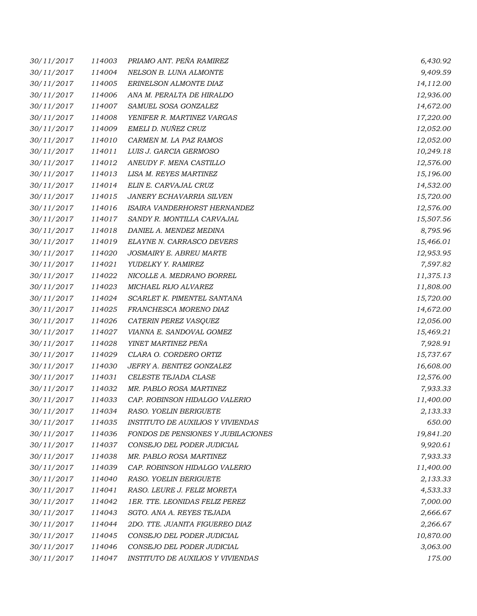| 30/11/2017 | 114003 | PRIAMO ANT. PEÑA RAMIREZ                 | 6,430.92  |
|------------|--------|------------------------------------------|-----------|
| 30/11/2017 | 114004 | NELSON B. LUNA ALMONTE                   | 9,409.59  |
| 30/11/2017 | 114005 | ERINELSON ALMONTE DIAZ                   | 14,112.00 |
| 30/11/2017 | 114006 | ANA M. PERALTA DE HIRALDO                | 12,936.00 |
| 30/11/2017 | 114007 | SAMUEL SOSA GONZALEZ                     | 14,672.00 |
| 30/11/2017 | 114008 | YENIFER R. MARTINEZ VARGAS               | 17,220.00 |
| 30/11/2017 | 114009 | EMELI D. NUÑEZ CRUZ                      | 12,052.00 |
| 30/11/2017 | 114010 | CARMEN M. LA PAZ RAMOS                   | 12,052.00 |
| 30/11/2017 | 114011 | LUIS J. GARCIA GERMOSO                   | 10,249.18 |
| 30/11/2017 | 114012 | ANEUDY F. MENA CASTILLO                  | 12,576.00 |
| 30/11/2017 | 114013 | LISA M. REYES MARTINEZ                   | 15,196.00 |
| 30/11/2017 | 114014 | ELIN E. CARVAJAL CRUZ                    | 14,532.00 |
| 30/11/2017 | 114015 | JANERY ECHAVARRIA SILVEN                 | 15,720.00 |
| 30/11/2017 | 114016 | ISAIRA VANDERHORST HERNANDEZ             | 12,576.00 |
| 30/11/2017 | 114017 | SANDY R. MONTILLA CARVAJAL               | 15,507.56 |
| 30/11/2017 | 114018 | DANIEL A. MENDEZ MEDINA                  | 8,795.96  |
| 30/11/2017 | 114019 | ELAYNE N. CARRASCO DEVERS                | 15,466.01 |
| 30/11/2017 | 114020 | JOSMAIRY E. ABREU MARTE                  | 12,953.95 |
| 30/11/2017 | 114021 | YUDELKY Y. RAMIREZ                       | 7,597.82  |
| 30/11/2017 | 114022 | NICOLLE A. MEDRANO BORREL                | 11,375.13 |
| 30/11/2017 | 114023 | MICHAEL RIJO ALVAREZ                     | 11,808.00 |
| 30/11/2017 | 114024 | SCARLET K. PIMENTEL SANTANA              | 15,720.00 |
| 30/11/2017 | 114025 | FRANCHESCA MORENO DIAZ                   | 14,672.00 |
| 30/11/2017 | 114026 | CATERIN PEREZ VASQUEZ                    | 12,056.00 |
| 30/11/2017 | 114027 | VIANNA E. SANDOVAL GOMEZ                 | 15,469.21 |
| 30/11/2017 | 114028 | YINET MARTINEZ PEÑA                      | 7,928.91  |
| 30/11/2017 | 114029 | CLARA O. CORDERO ORTIZ                   | 15,737.67 |
| 30/11/2017 | 114030 | JEFRY A. BENITEZ GONZALEZ                | 16,608.00 |
| 30/11/2017 | 114031 | CELESTE TEJADA CLASE                     | 12,576.00 |
| 30/11/2017 | 114032 | MR. PABLO ROSA MARTINEZ                  | 7,933.33  |
| 30/11/2017 | 114033 | CAP. ROBINSON HIDALGO VALERIO            | 11,400.00 |
| 30/11/2017 | 114034 | RASO. YOELIN BERIGUETE                   | 2,133.33  |
| 30/11/2017 | 114035 | <b>INSTITUTO DE AUXILIOS Y VIVIENDAS</b> | 650.00    |
| 30/11/2017 | 114036 | FONDOS DE PENSIONES Y JUBILACIONES       | 19,841.20 |
| 30/11/2017 | 114037 | CONSEJO DEL PODER JUDICIAL               | 9,920.61  |
| 30/11/2017 | 114038 | MR. PABLO ROSA MARTINEZ                  | 7,933.33  |
| 30/11/2017 | 114039 | CAP. ROBINSON HIDALGO VALERIO            | 11,400.00 |
| 30/11/2017 | 114040 | RASO. YOELIN BERIGUETE                   | 2,133.33  |
| 30/11/2017 | 114041 | RASO. LEURE J. FELIZ MORETA              | 4,533.33  |
| 30/11/2017 | 114042 | 1ER. TTE. LEONIDAS FELIZ PEREZ           | 7,000.00  |
| 30/11/2017 | 114043 | SGTO. ANA A. REYES TEJADA                | 2,666.67  |
| 30/11/2017 | 114044 | 2DO. TTE. JUANITA FIGUEREO DIAZ          | 2,266.67  |
| 30/11/2017 | 114045 | CONSEJO DEL PODER JUDICIAL               | 10,870.00 |
| 30/11/2017 | 114046 | CONSEJO DEL PODER JUDICIAL               | 3,063.00  |
| 30/11/2017 | 114047 | INSTITUTO DE AUXILIOS Y VIVIENDAS        | 175.00    |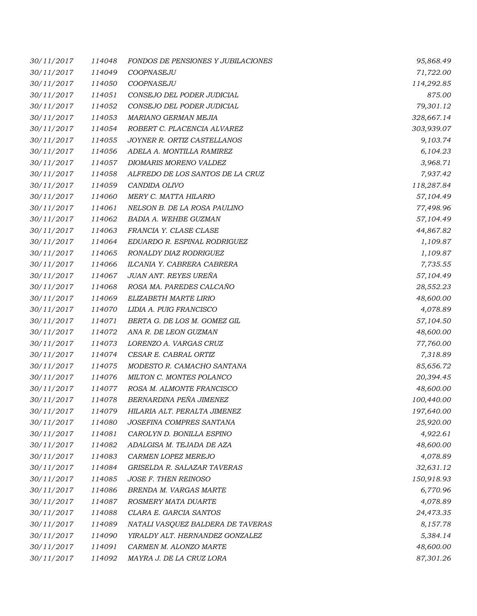| 30/11/2017 | 114048 | <b>FONDOS DE PENSIONES Y JUBILACIONES</b> | 95,868.49  |
|------------|--------|-------------------------------------------|------------|
| 30/11/2017 | 114049 | COOPNASEJU                                | 71,722.00  |
| 30/11/2017 | 114050 | COOPNASEJU                                | 114,292.85 |
| 30/11/2017 | 114051 | CONSEJO DEL PODER JUDICIAL                | 875.00     |
| 30/11/2017 | 114052 | CONSEJO DEL PODER JUDICIAL                | 79,301.12  |
| 30/11/2017 | 114053 | MARIANO GERMAN MEJIA                      | 328,667.14 |
| 30/11/2017 | 114054 | ROBERT C. PLACENCIA ALVAREZ               | 303,939.07 |
| 30/11/2017 | 114055 | JOYNER R. ORTIZ CASTELLANOS               | 9,103.74   |
| 30/11/2017 | 114056 | ADELA A. MONTILLA RAMIREZ                 | 6,104.23   |
| 30/11/2017 | 114057 | DIOMARIS MORENO VALDEZ                    | 3,968.71   |
| 30/11/2017 | 114058 | ALFREDO DE LOS SANTOS DE LA CRUZ          | 7,937.42   |
| 30/11/2017 | 114059 | CANDIDA OLIVO                             | 118,287.84 |
| 30/11/2017 | 114060 | MERY C. MATTA HILARIO                     | 57,104.49  |
| 30/11/2017 | 114061 | NELSON B. DE LA ROSA PAULINO              | 77,498.96  |
| 30/11/2017 | 114062 | BADIA A. WEHBE GUZMAN                     | 57,104.49  |
| 30/11/2017 | 114063 | FRANCIA Y. CLASE CLASE                    | 44,867.82  |
| 30/11/2017 | 114064 | EDUARDO R. ESPINAL RODRIGUEZ              | 1,109.87   |
| 30/11/2017 | 114065 | RONALDY DIAZ RODRIGUEZ                    | 1,109.87   |
| 30/11/2017 | 114066 | ILCANIA Y. CABRERA CABRERA                | 7,735.55   |
| 30/11/2017 | 114067 | JUAN ANT. REYES UREÑA                     | 57,104.49  |
| 30/11/2017 | 114068 | ROSA MA. PAREDES CALCAÑO                  | 28,552.23  |
| 30/11/2017 | 114069 | ELIZABETH MARTE LIRIO                     | 48,600.00  |
| 30/11/2017 | 114070 | LIDIA A. PUIG FRANCISCO                   | 4,078.89   |
| 30/11/2017 | 114071 | BERTA G. DE LOS M. GOMEZ GIL              | 57,104.50  |
| 30/11/2017 | 114072 | ANA R. DE LEON GUZMAN                     | 48,600.00  |
| 30/11/2017 | 114073 | LORENZO A. VARGAS CRUZ                    | 77,760.00  |
| 30/11/2017 | 114074 | CESAR E. CABRAL ORTIZ                     | 7,318.89   |
| 30/11/2017 | 114075 | MODESTO R. CAMACHO SANTANA                | 85,656.72  |
| 30/11/2017 | 114076 | MILTON C. MONTES POLANCO                  | 20,394.45  |
| 30/11/2017 | 114077 | ROSA M. ALMONTE FRANCISCO                 | 48,600.00  |
| 30/11/2017 | 114078 | BERNARDINA PEÑA JIMENEZ                   | 100,440.00 |
| 30/11/2017 | 114079 | HILARIA ALT. PERALTA JIMENEZ              | 197,640.00 |
| 30/11/2017 | 114080 | JOSEFINA COMPRES SANTANA                  | 25,920.00  |
| 30/11/2017 | 114081 | CAROLYN D. BONILLA ESPINO                 | 4,922.61   |
| 30/11/2017 | 114082 | ADALGISA M. TEJADA DE AZA                 | 48,600.00  |
| 30/11/2017 | 114083 | CARMEN LOPEZ MEREJO                       | 4,078.89   |
| 30/11/2017 | 114084 | GRISELDA R. SALAZAR TAVERAS               | 32,631.12  |
| 30/11/2017 | 114085 | JOSE F. THEN REINOSO                      | 150,918.93 |
| 30/11/2017 | 114086 | BRENDA M. VARGAS MARTE                    | 6,770.96   |
| 30/11/2017 | 114087 | ROSMERY MATA DUARTE                       | 4,078.89   |
| 30/11/2017 | 114088 | CLARA E. GARCIA SANTOS                    | 24,473.35  |
| 30/11/2017 | 114089 | NATALI VASQUEZ BALDERA DE TAVERAS         | 8,157.78   |
| 30/11/2017 | 114090 | YIRALDY ALT. HERNANDEZ GONZALEZ           | 5,384.14   |
| 30/11/2017 | 114091 | CARMEN M. ALONZO MARTE                    | 48,600.00  |
| 30/11/2017 | 114092 | MAYRA J. DE LA CRUZ LORA                  | 87,301.26  |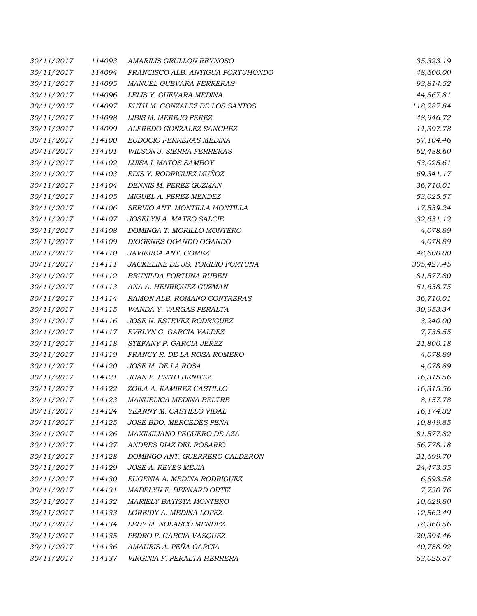| 30/11/2017 | 114093 | AMARILIS GRULLON REYNOSO          | 35,323.19  |
|------------|--------|-----------------------------------|------------|
| 30/11/2017 | 114094 | FRANCISCO ALB. ANTIGUA PORTUHONDO | 48,600.00  |
| 30/11/2017 | 114095 | MANUEL GUEVARA FERRERAS           | 93,814.52  |
| 30/11/2017 | 114096 | LELIS Y. GUEVARA MEDINA           | 44,867.81  |
| 30/11/2017 | 114097 | RUTH M. GONZALEZ DE LOS SANTOS    | 118,287.84 |
| 30/11/2017 | 114098 | LIBIS M. MEREJO PEREZ             | 48,946.72  |
| 30/11/2017 | 114099 | ALFREDO GONZALEZ SANCHEZ          | 11,397.78  |
| 30/11/2017 | 114100 | EUDOCIO FERRERAS MEDINA           | 57,104.46  |
| 30/11/2017 | 114101 | WILSON J. SIERRA FERRERAS         | 62,488.60  |
| 30/11/2017 | 114102 | LUISA I. MATOS SAMBOY             | 53,025.61  |
| 30/11/2017 | 114103 | EDIS Y. RODRIGUEZ MUÑOZ           | 69,341.17  |
| 30/11/2017 | 114104 | DENNIS M. PEREZ GUZMAN            | 36,710.01  |
| 30/11/2017 | 114105 | MIGUEL A. PEREZ MENDEZ            | 53,025.57  |
| 30/11/2017 | 114106 | SERVIO ANT. MONTILLA MONTILLA     | 17,539.24  |
| 30/11/2017 | 114107 | JOSELYN A. MATEO SALCIE           | 32,631.12  |
| 30/11/2017 | 114108 | DOMINGA T. MORILLO MONTERO        | 4,078.89   |
| 30/11/2017 | 114109 | DIOGENES OGANDO OGANDO            | 4,078.89   |
| 30/11/2017 | 114110 | JAVIERCA ANT. GOMEZ               | 48,600.00  |
| 30/11/2017 | 114111 | JACKELINE DE JS. TORIBIO FORTUNA  | 305,427.45 |
| 30/11/2017 | 114112 | BRUNILDA FORTUNA RUBEN            | 81,577.80  |
| 30/11/2017 | 114113 | ANA A. HENRIQUEZ GUZMAN           | 51,638.75  |
| 30/11/2017 | 114114 | RAMON ALB. ROMANO CONTRERAS       | 36,710.01  |
| 30/11/2017 | 114115 | WANDA Y. VARGAS PERALTA           | 30,953.34  |
| 30/11/2017 | 114116 | JOSE N. ESTEVEZ RODRIGUEZ         | 3,240.00   |
| 30/11/2017 | 114117 | EVELYN G. GARCIA VALDEZ           | 7,735.55   |
| 30/11/2017 | 114118 | STEFANY P. GARCIA JEREZ           | 21,800.18  |
| 30/11/2017 | 114119 | FRANCY R. DE LA ROSA ROMERO       | 4,078.89   |
| 30/11/2017 | 114120 | JOSE M. DE LA ROSA                | 4,078.89   |
| 30/11/2017 | 114121 | JUAN E. BRITO BENITEZ             | 16,315.56  |
| 30/11/2017 | 114122 | ZOILA A. RAMIREZ CASTILLO         | 16,315.56  |
| 30/11/2017 | 114123 | MANUELICA MEDINA BELTRE           | 8,157.78   |
| 30/11/2017 | 114124 | YEANNY M. CASTILLO VIDAL          | 16,174.32  |
| 30/11/2017 | 114125 | JOSE BDO. MERCEDES PEÑA           | 10,849.85  |
| 30/11/2017 | 114126 | MAXIMILIANO PEGUERO DE AZA        | 81,577.82  |
| 30/11/2017 | 114127 | ANDRES DIAZ DEL ROSARIO           | 56,778.18  |
| 30/11/2017 | 114128 | DOMINGO ANT. GUERRERO CALDERON    | 21,699.70  |
| 30/11/2017 | 114129 | JOSE A. REYES MEJIA               | 24,473.35  |
| 30/11/2017 | 114130 | EUGENIA A. MEDINA RODRIGUEZ       | 6,893.58   |
| 30/11/2017 | 114131 | MABELYN F. BERNARD ORTIZ          | 7,730.76   |
| 30/11/2017 | 114132 | MARIELY BATISTA MONTERO           | 10,629.80  |
| 30/11/2017 | 114133 | LOREIDY A. MEDINA LOPEZ           | 12,562.49  |
| 30/11/2017 | 114134 | LEDY M. NOLASCO MENDEZ            | 18,360.56  |
| 30/11/2017 | 114135 | PEDRO P. GARCIA VASQUEZ           | 20,394.46  |
| 30/11/2017 | 114136 | AMAURIS A. PEÑA GARCIA            | 40,788.92  |
| 30/11/2017 | 114137 | VIRGINIA F. PERALTA HERRERA       | 53,025.57  |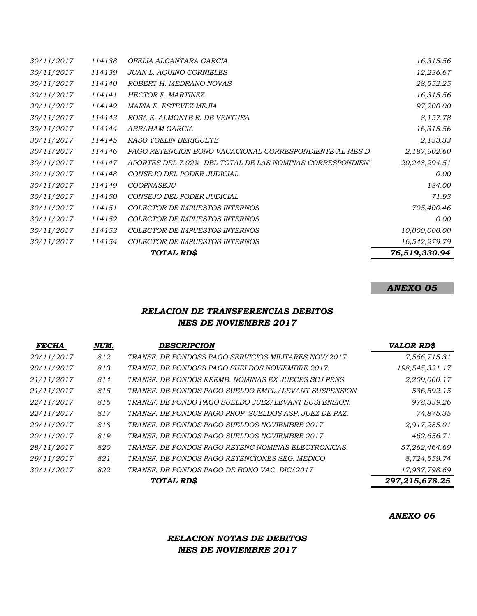|            |        | TOTAL RD\$                                                 | 76,519,330.94 |
|------------|--------|------------------------------------------------------------|---------------|
| 30/11/2017 | 114154 | COLECTOR DE IMPUESTOS INTERNOS                             | 16,542,279.79 |
| 30/11/2017 | 114153 | COLECTOR DE IMPUESTOS INTERNOS                             | 10,000,000.00 |
| 30/11/2017 | 114152 | COLECTOR DE IMPUESTOS INTERNOS                             | 0.00          |
| 30/11/2017 | 114151 | COLECTOR DE IMPUESTOS INTERNOS                             | 705,400.46    |
| 30/11/2017 | 114150 | CONSEJO DEL PODER JUDICIAL                                 | 71.93         |
| 30/11/2017 | 114149 | <b>COOPNASEJU</b>                                          | 184.00        |
| 30/11/2017 | 114148 | CONSEJO DEL PODER JUDICIAL                                 | 0.00          |
| 30/11/2017 | 114147 | APORTES DEL 7.02% DEL TOTAL DE LAS NOMINAS CORRESPONDIEN'. | 20,248,294.51 |
| 30/11/2017 | 114146 | PAGO RETENCION BONO VACACIONAL CORRESPONDIENTE AL MES D.   | 2,187,902.60  |
| 30/11/2017 | 114145 | <b>RASO YOELIN BERIGUETE</b>                               | 2,133.33      |
| 30/11/2017 | 114144 | ABRAHAM GARCIA                                             | 16,315.56     |
| 30/11/2017 | 114143 | ROSA E. ALMONTE R. DE VENTURA                              | 8,157.78      |
| 30/11/2017 | 114142 | MARIA E. ESTEVEZ MEJIA                                     | 97,200.00     |
| 30/11/2017 | 114141 | <b>HECTOR F. MARTINEZ</b>                                  | 16,315.56     |
| 30/11/2017 | 114140 | ROBERT H. MEDRANO NOVAS                                    | 28,552.25     |
| 30/11/2017 | 114139 | <b>JUAN L. AOUINO CORNIELES</b>                            | 12,236.67     |
| 30/11/2017 | 114138 | OFELIA ALCANTARA GARCIA                                    | 16,315.56     |

### *ANEXO 05*

### *RELACION DE TRANSFERENCIAS DEBITOS MES DE NOVIEMBRE 2017*

| <b>FECHA</b> | NUM. | <b>DESCRIPCION</b>                                     | <b>VALOR RD\$</b> |
|--------------|------|--------------------------------------------------------|-------------------|
| 20/11/2017   | 812  | TRANSF. DE FONDOSS PAGO SERVICIOS MILITARES NOV/2017.  | 7,566,715.31      |
| 20/11/2017   | 813  | TRANSF. DE FONDOSS PAGO SUELDOS NOVIEMBRE 2017.        | 198,545,331.17    |
| 21/11/2017   | 814  | TRANSF. DE FONDOS REEMB. NOMINAS EX JUECES SCJ PENS.   | 2,209,060.17      |
| 21/11/2017   | 815  | TRANSF. DE FONDOS PAGO SUELDO EMPL./LEVANT SUSPENSION  | 536,592.15        |
| 22/11/2017   | 816  | TRANSF. DE FONDO PAGO SUELDO JUEZ/LEVANT SUSPENSION.   | 978,339.26        |
| 22/11/2017   | 817  | TRANSF. DE FONDOS PAGO PROP. SUELDOS ASP. JUEZ DE PAZ. | 74,875.35         |
| 20/11/2017   | 818  | TRANSF. DE FONDOS PAGO SUELDOS NOVIEMBRE 2017.         | 2,917,285.01      |
| 20/11/2017   | 819  | TRANSF. DE FONDOS PAGO SUELDOS NOVIEMBRE 2017.         | 462,656.71        |
| 28/11/2017   | 820  | TRANSF. DE FONDOS PAGO RETENC NOMINAS ELECTRONICAS.    | 57,262,464.69     |
| 29/11/2017   | 821  | TRANSF. DE FONDOS PAGO RETENCIONES SEG. MEDICO         | 8,724,559.74      |
| 30/11/2017   | 822  | TRANSF. DE FONDOS PAGO DE BONO VAC. DIC/2017           | 17,937,798.69     |
|              |      | TOTAL RD\$                                             | 297,215,678.25    |

*ANEXO 06*

# *RELACION NOTAS DE DEBITOS MES DE NOVIEMBRE 2017*